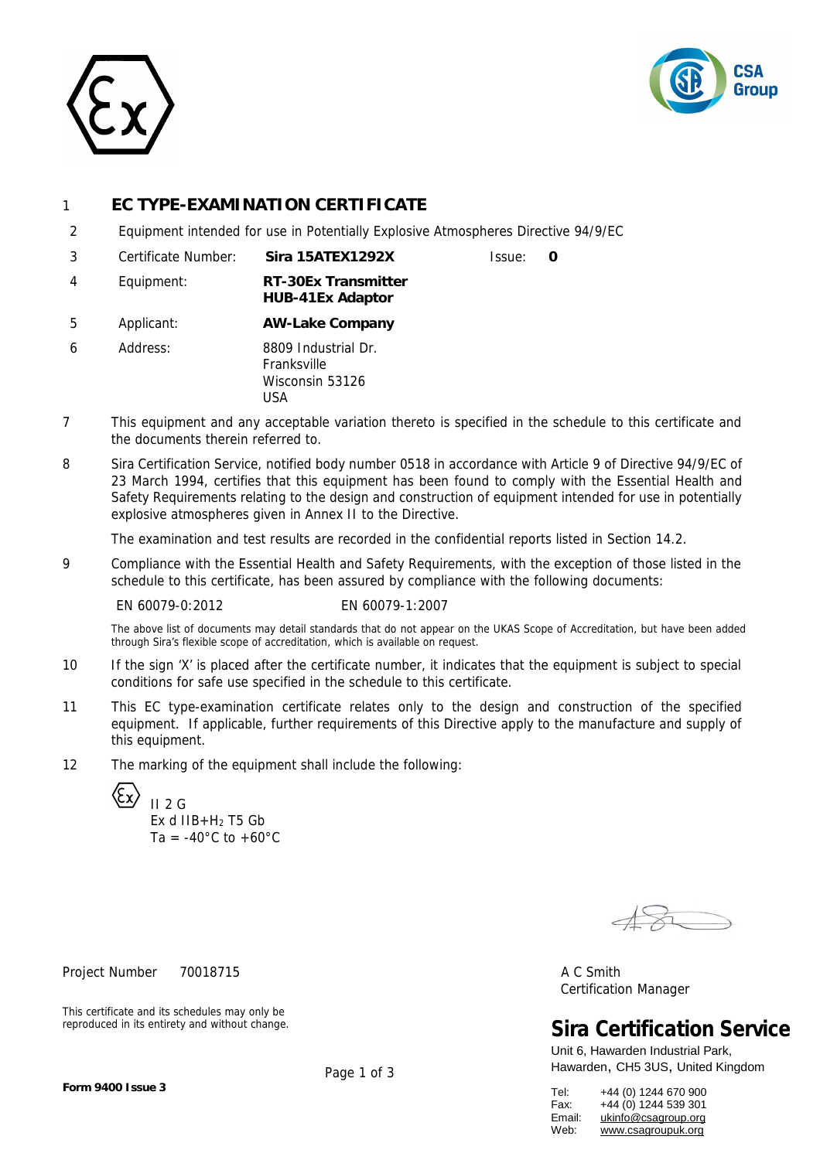



# 1 **EC TYPE-EXAMINATION CERTIFICATE**

- 2 Equipment intended for use in Potentially Explosive Atmospheres Directive 94/9/EC
- 3 Certificate Number: **Sira 15ATEX1292X** Issue: **0**  4 Equipment: **RT-30Ex Transmitter HUB-41Ex Adaptor**
- 5 Applicant: **AW-Lake Company**
- 6 Address: 8809 Industrial Dr. Franksville Wisconsin 53126 USA
- 7 This equipment and any acceptable variation thereto is specified in the schedule to this certificate and the documents therein referred to.
- 8 Sira Certification Service, notified body number 0518 in accordance with Article 9 of Directive 94/9/EC of 23 March 1994, certifies that this equipment has been found to comply with the Essential Health and Safety Requirements relating to the design and construction of equipment intended for use in potentially explosive atmospheres given in Annex II to the Directive.

The examination and test results are recorded in the confidential reports listed in Section 14.2.

9 Compliance with the Essential Health and Safety Requirements, with the exception of those listed in the schedule to this certificate, has been assured by compliance with the following documents:

EN 60079-0:2012 EN 60079-1:2007

The above list of documents may detail standards that do not appear on the UKAS Scope of Accreditation, but have been added through Sira's flexible scope of accreditation, which is available on request.

- 10 If the sign 'X' is placed after the certificate number, it indicates that the equipment is subject to special conditions for safe use specified in the schedule to this certificate.
- 11 This EC type-examination certificate relates only to the design and construction of the specified equipment. If applicable, further requirements of this Directive apply to the manufacture and supply of this equipment.
- 12 The marking of the equipment shall include the following:

 $II$  2 G Ex d IIB+H<sup>2</sup> T5 Gb Ta =  $-40^{\circ}$ C to  $+60^{\circ}$ C

Project Number 70018715 A C Smith

This certificate and its schedules may only be reproduced in its entirety and without change.

Certification Manager

**Sira Certification Service**

Unit 6, Hawarden Industrial Park, Hawarden, CH5 3US, United Kingdom

| Tel:   | +44 (0) 1244 670 900 |
|--------|----------------------|
| Fax:   | +44 (0) 1244 539 301 |
| Email: | ukinfo@csagroup.org  |
| Web:   | www.csagroupuk.org   |

Page 1 of 3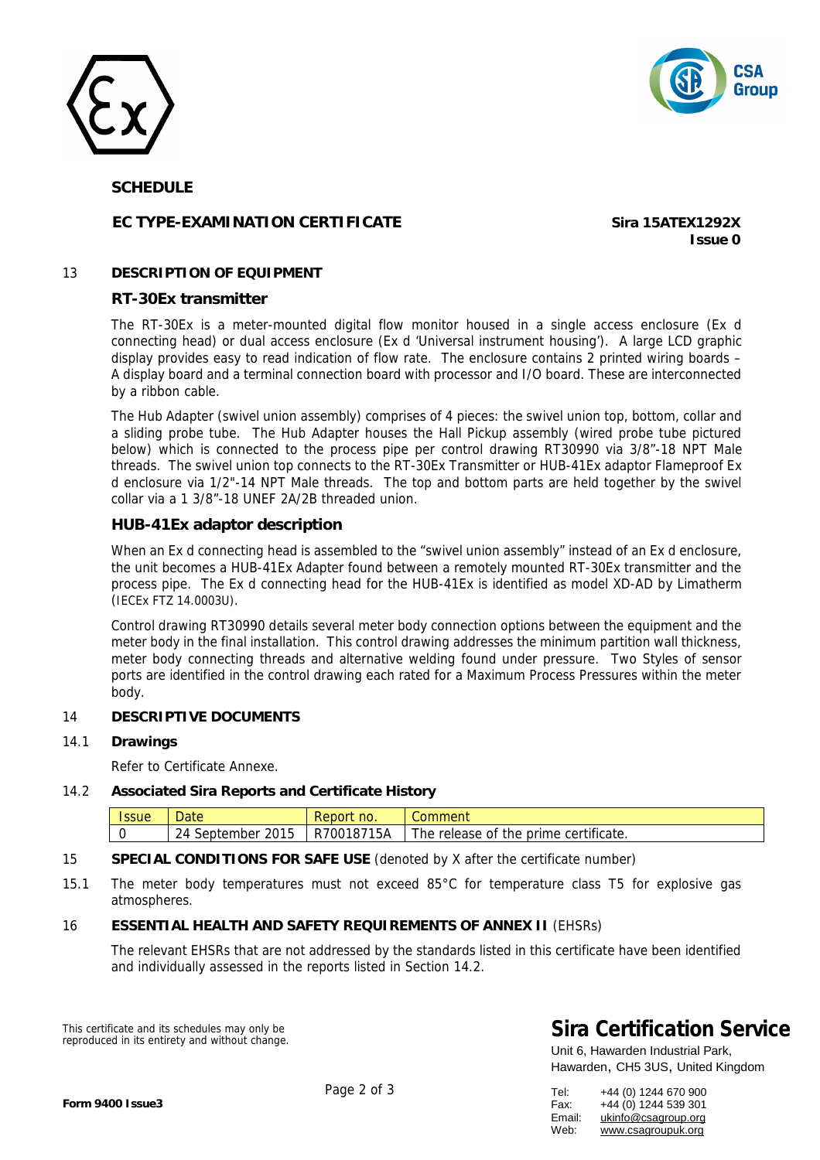



### **SCHEDULE**

# **EC TYPE-EXAMINATION CERTIFICATE Sira 15ATEX1292X**

**Issue 0**

### 13 **DESCRIPTION OF EQUIPMENT**

### **RT-30Ex transmitter**

The RT-30Ex is a meter-mounted digital flow monitor housed in a single access enclosure (Ex d connecting head) or dual access enclosure (Ex d 'Universal instrument housing'). A large LCD graphic display provides easy to read indication of flow rate. The enclosure contains 2 printed wiring boards – A display board and a terminal connection board with processor and I/O board. These are interconnected by a ribbon cable.

The Hub Adapter (swivel union assembly) comprises of 4 pieces: the swivel union top, bottom, collar and a sliding probe tube. The Hub Adapter houses the Hall Pickup assembly (wired probe tube pictured below) which is connected to the process pipe per control drawing RT30990 via 3/8"-18 NPT Male threads. The swivel union top connects to the RT-30Ex Transmitter or HUB-41Ex adaptor Flameproof Ex d enclosure via 1/2"-14 NPT Male threads. The top and bottom parts are held together by the swivel collar via a 1 3/8"-18 UNEF 2A/2B threaded union.

### **HUB-41Ex adaptor description**

When an Ex d connecting head is assembled to the "swivel union assembly" instead of an Ex d enclosure, the unit becomes a HUB-41Ex Adapter found between a remotely mounted RT-30Ex transmitter and the process pipe. The Ex d connecting head for the HUB-41Ex is identified as model XD-AD by Limatherm (IECEx FTZ 14.0003U).

Control drawing RT30990 details several meter body connection options between the equipment and the meter body in the final installation. This control drawing addresses the minimum partition wall thickness, meter body connecting threads and alternative welding found under pressure. Two Styles of sensor ports are identified in the control drawing each rated for a Maximum Process Pressures within the meter body.

### 14 **DESCRIPTIVE DOCUMENTS**

14.1 **Drawings** 

Refer to Certificate Annexe.

14.2 **Associated Sira Reports and Certificate History**

| <b>Date</b>                                    | no.<br>REDOL              | omment                                                  |
|------------------------------------------------|---------------------------|---------------------------------------------------------|
| ົາ Δ<br>september<br>. <del>.</del><br>∠∪<br>- | 15A<br>1871<br>7001<br>R. | certificate.<br>the<br>prime<br>release of<br><b>he</b> |

### 15 **SPECIAL CONDITIONS FOR SAFE USE** (denoted by X after the certificate number)

15.1 The meter body temperatures must not exceed 85°C for temperature class T5 for explosive gas atmospheres.

### 16 **ESSENTIAL HEALTH AND SAFETY REQUIREMENTS OF ANNEX II** (EHSRs)

The relevant EHSRs that are not addressed by the standards listed in this certificate have been identified and individually assessed in the reports listed in Section 14.2.

This certificate and its schedules may only be reproduced in its entirety and without change.

# **Sira Certification Service**

Unit 6, Hawarden Industrial Park, Hawarden, CH5 3US, United Kingdom

| Tel:   | +44 (0) 1244 670 900 |
|--------|----------------------|
| Fax:   | +44 (0) 1244 539 301 |
| Email: | ukinfo@csagroup.org  |
| Web:   | www.csagroupuk.org   |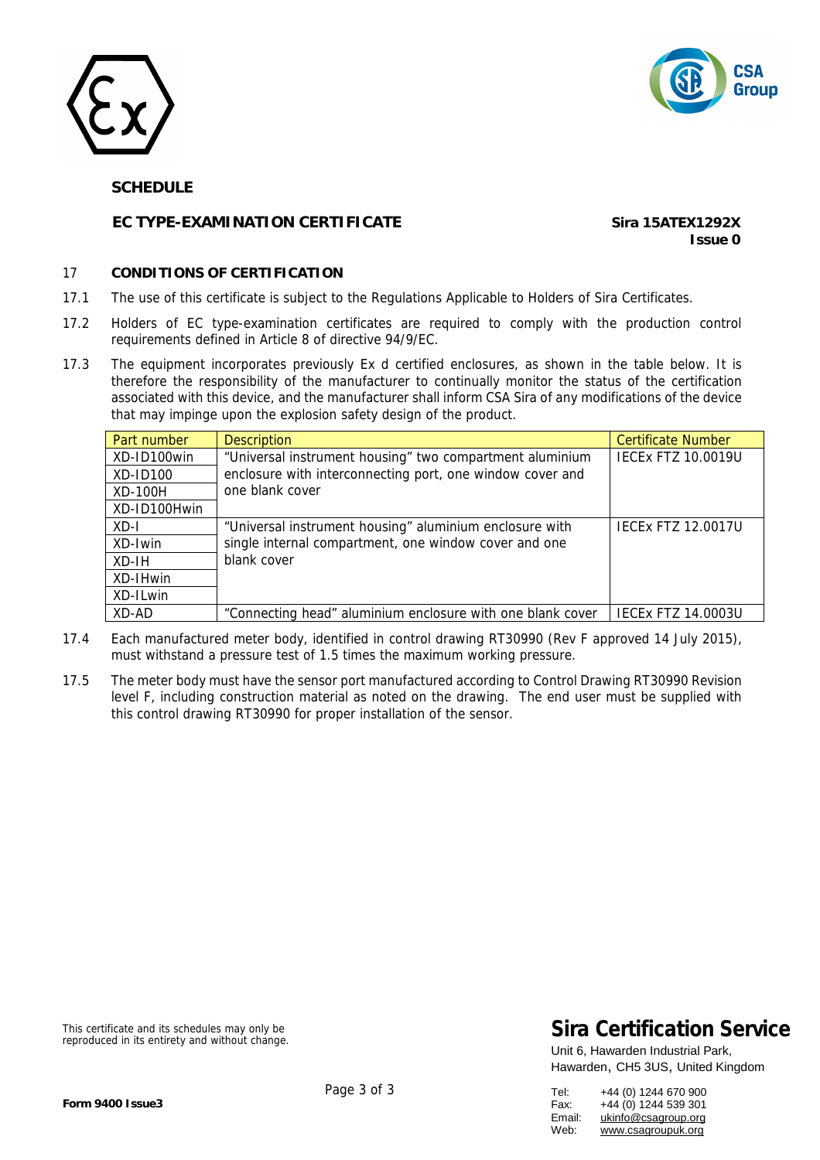



### **SCHEDULE**

# **EC TYPE-EXAMINATION CERTIFICATE Sira 15ATEX1292X**

**Issue 0**

#### 17 **CONDITIONS OF CERTIFICATION**

- 17.1 The use of this certificate is subject to the Regulations Applicable to Holders of Sira Certificates.
- 17.2 Holders of EC type-examination certificates are required to comply with the production control requirements defined in Article 8 of directive 94/9/EC.
- 17.3 The equipment incorporates previously Ex d certified enclosures, as shown in the table below. It is therefore the responsibility of the manufacturer to continually monitor the status of the certification associated with this device, and the manufacturer shall inform CSA Sira of any modifications of the device that may impinge upon the explosion safety design of the product.

| Part number  | <b>Description</b>                                         | <b>Certificate Number</b> |
|--------------|------------------------------------------------------------|---------------------------|
| XD-ID100win  | "Universal instrument housing" two compartment aluminium   | <b>IECEX FTZ 10.0019U</b> |
| XD-ID100     | enclosure with interconnecting port, one window cover and  |                           |
| XD-100H      | one blank cover                                            |                           |
| XD-ID100Hwin |                                                            |                           |
| $XD - I$     | "Universal instrument housing" aluminium enclosure with    | <b>IECEX FTZ 12.0017U</b> |
| XD-Iwin      | single internal compartment, one window cover and one      |                           |
| XD-IH        | blank cover                                                |                           |
| XD-IHwin     |                                                            |                           |
| XD-ILwin     |                                                            |                           |
| XD-AD        | "Connecting head" aluminium enclosure with one blank cover | <b>IECEX FTZ 14.0003U</b> |

- 17.4 Each manufactured meter body, identified in control drawing RT30990 (Rev F approved 14 July 2015), must withstand a pressure test of 1.5 times the maximum working pressure.
- 17.5 The meter body must have the sensor port manufactured according to Control Drawing RT30990 Revision level F, including construction material as noted on the drawing. The end user must be supplied with this control drawing RT30990 for proper installation of the sensor.

This certificate and its schedules may only be reproduced in its entirety and without change.

# **Sira Certification Service**

Unit 6, Hawarden Industrial Park, Hawarden, CH5 3US, United Kingdom

| Tel:   | +44 (0) 1244 670 900 |
|--------|----------------------|
| Fax:   | +44 (0) 1244 539 301 |
| Email: | ukinfo@csagroup.org  |
| Web:   | www.csagroupuk.org   |